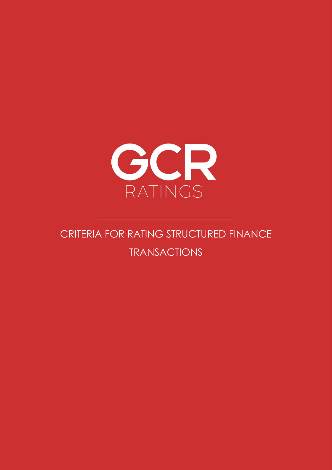

# CRITERIA FOR RATING STRUCTURED FINANCE TRANSACTIONS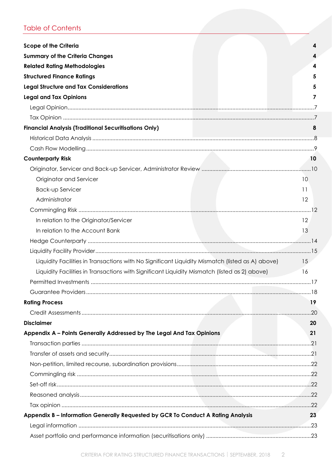## Table of Contents

| <b>Scope of the Criteria</b>                                                                     |                 |
|--------------------------------------------------------------------------------------------------|-----------------|
| <b>Summary of the Criteria Changes</b>                                                           |                 |
| <b>Related Rating Methodologies</b>                                                              |                 |
| <b>Structured Finance Ratings</b>                                                                |                 |
| <b>Legal Structure and Tax Considerations</b>                                                    |                 |
| <b>Legal and Tax Opinions</b>                                                                    |                 |
|                                                                                                  |                 |
|                                                                                                  |                 |
| <b>Financial Analysis (Traditional Securitisations Only)</b>                                     | 8               |
|                                                                                                  |                 |
|                                                                                                  |                 |
| <b>Counterparty Risk</b>                                                                         | 10              |
|                                                                                                  |                 |
| Originator and Servicer                                                                          | 10              |
| Back-up Servicer                                                                                 | 11              |
| Administrator                                                                                    | 12              |
|                                                                                                  |                 |
| In relation to the Originator/Servicer                                                           | 12              |
| In relation to the Account Bank                                                                  | 13              |
|                                                                                                  |                 |
|                                                                                                  |                 |
| Liquidity Facilities in Transactions with No Significant Liquidity Mismatch (listed as A) above) | 15 <sup>2</sup> |
| Liquidity Facilities in Transactions with Significant Liquidity Mismatch (listed as 2) above)    | 16              |
|                                                                                                  |                 |
|                                                                                                  |                 |
| <b>Rating Process</b>                                                                            | 19              |
|                                                                                                  |                 |
| <b>Disclaimer</b>                                                                                | 20              |
| Appendix A - Points Generally Addressed by The Legal And Tax Opinions                            | 21              |
|                                                                                                  |                 |
|                                                                                                  |                 |
|                                                                                                  |                 |
|                                                                                                  |                 |
|                                                                                                  |                 |
|                                                                                                  |                 |
|                                                                                                  |                 |
| Appendix B - Information Generally Requested by GCR To Conduct A Rating Analysis                 | 23              |
|                                                                                                  |                 |
|                                                                                                  |                 |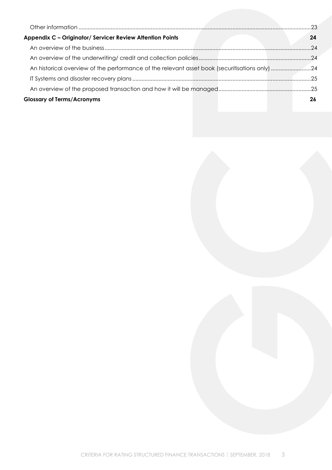| Appendix C - Originator/ Servicer Review Attention Points | 24 |
|-----------------------------------------------------------|----|
|                                                           |    |
|                                                           |    |
|                                                           |    |
|                                                           |    |
|                                                           |    |
| <b>Glossary of Terms/Acronyms</b>                         | 26 |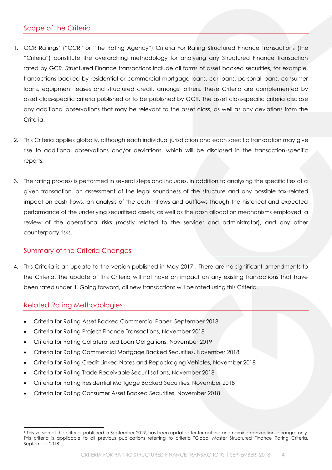## <span id="page-3-0"></span>Scope of the Criteria

- 1. GCR Ratings' ("GCR" or "the Rating Agency") Criteria For Rating Structured Finance Transactions (the "Criteria") constitute the overarching methodology for analysing any Structured Finance transaction rated by GCR. Structured Finance transactions include all forms of asset backed securities, for example, transactions backed by residential or commercial mortgage loans, car loans, personal loans, consumer loans, equipment leases and structured credit, amongst others. These Criteria are complemented by asset class-specific criteria published or to be published by GCR. The asset class-specific criteria disclose any additional observations that may be relevant to the asset class, as well as any deviations from the Criteria.
- 2. This Criteria applies globally, although each individual jurisdiction and each specific transaction may give rise to additional observations and/or deviations, which will be disclosed in the transaction-specific reports.
- 3. The rating process is performed in several steps and includes, in addition to analysing the specificities of a given transaction, an assessment of the legal soundness of the structure and any possible tax-related impact on cash flows, an analysis of the cash inflows and outflows though the historical and expected performance of the underlying securitised assets, as well as the cash allocation mechanisms employed; a review of the operational risks (mostly related to the servicer and administrator), and any other counterparty risks.

#### <span id="page-3-1"></span>Summary of the Criteria Changes

4. This Criteria is an update to the version published in May 20171. There are no significant amendments to the Criteria. The update of this Criteria will not have an impact on any existing transactions that have been rated under it. Going forward, all new transactions will be rated using this Criteria.

#### <span id="page-3-2"></span>Related Rating Methodologies

- Criteria for Rating Asset Backed Commercial Paper, September 2018
- Criteria for Rating Project Finance Transactions, November 2018
- Criteria for Rating Collateralised Loan Obligations, November 2019
- Criteria for Rating Commercial Mortgage Backed Securities, November 2018
- Criteria for Rating Credit Linked Notes and Repackaging Vehicles, November 2018
- Criteria for Rating Trade Receivable Securitisations, November 2018
- Criteria for Rating Residential Mortgage Backed Securities, November 2018
- Criteria for Rating Consumer Asset Backed Securities, November 2018

<sup>1</sup> This version of the criteria, published in September 2019, has been updated for formatting and naming conventions changes only. This criteria is applicable to all previous publications referring to criteria "Global Master Structured Finance Rating Criteria, September 2018".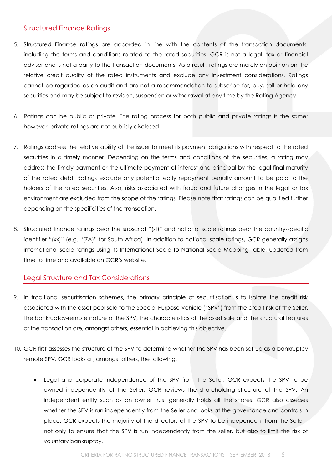## <span id="page-4-0"></span>Structured Finance Ratings

- 5. Structured Finance ratings are accorded in line with the contents of the transaction documents, including the terms and conditions related to the rated securities. GCR is not a legal, tax or financial adviser and is not a party to the transaction documents. As a result, ratings are merely an opinion on the relative credit quality of the rated instruments and exclude any investment considerations. Ratings cannot be regarded as an audit and are not a recommendation to subscribe for, buy, sell or hold any securities and may be subject to revision, suspension or withdrawal at any time by the Rating Agency.
- 6. Ratings can be public or private. The rating process for both public and private ratings is the same; however, private ratings are not publicly disclosed.
- 7. Ratings address the relative ability of the issuer to meet its payment obligations with respect to the rated securities in a timely manner. Depending on the terms and conditions of the securities, a rating may address the timely payment or the ultimate payment of interest and principal by the legal final maturity of the rated debt. Ratings exclude any potential early repayment penalty amount to be paid to the holders of the rated securities. Also, risks associated with fraud and future changes in the legal or tax environment are excluded from the scope of the ratings. Please note that ratings can be qualified further depending on the specificities of the transaction.
- 8. Structured finance ratings bear the subscript "(sf)" and national scale ratings bear the country-specific identifier "(xx)" (e.g. "(ZA)" for South Africa). In addition to national scale ratings, GCR generally assigns international scale ratings using its International Scale to National Scale Mapping Table, updated from time to time and available on GCR's website.

#### <span id="page-4-1"></span>Legal Structure and Tax Considerations

- 9. In traditional securitisation schemes, the primary principle of securitisation is to isolate the credit risk associated with the asset pool sold to the Special Purpose Vehicle ("SPV") from the credit risk of the Seller. The bankruptcy-remote nature of the SPV, the characteristics of the asset sale and the structural features of the transaction are, amongst others, essential in achieving this objective.
- 10. GCR first assesses the structure of the SPV to determine whether the SPV has been set-up as a bankruptcy remote SPV. GCR looks at, amongst others, the following:
	- Legal and corporate independence of the SPV from the Seller. GCR expects the SPV to be owned independently of the Seller. GCR reviews the shareholding structure of the SPV. An independent entity such as an owner trust generally holds all the shares. GCR also assesses whether the SPV is run independently from the Seller and looks at the governance and controls in place. GCR expects the majority of the directors of the SPV to be independent from the Seller not only to ensure that the SPV is run independently from the seller, but also to limit the risk of voluntary bankruptcy.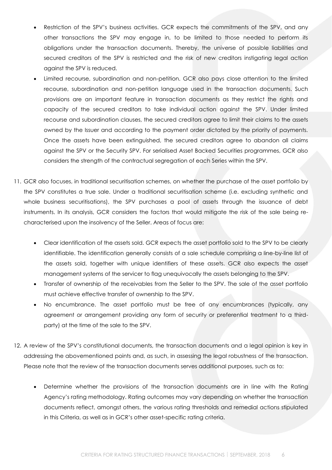- Restriction of the SPV's business activities. GCR expects the commitments of the SPV, and any other transactions the SPV may engage in, to be limited to those needed to perform its obligations under the transaction documents. Thereby, the universe of possible liabilities and secured creditors of the SPV is restricted and the risk of new creditors instigating legal action against the SPV is reduced.
- Limited recourse, subordination and non-petition. GCR also pays close attention to the limited recourse, subordination and non-petition language used in the transaction documents. Such provisions are an important feature in transaction documents as they restrict the rights and capacity of the secured creditors to take individual action against the SPV. Under limited recourse and subordination clauses, the secured creditors agree to limit their claims to the assets owned by the Issuer and according to the payment order dictated by the priority of payments. Once the assets have been extinguished, the secured creditors agree to abandon all claims against the SPV or the Security SPV. For serialised Asset Backed Securities programmes, GCR also considers the strength of the contractual segregation of each Series within the SPV.
- 11. GCR also focuses, in traditional securitisation schemes, on whether the purchase of the asset portfolio by the SPV constitutes a true sale. Under a traditional securitisation scheme (i.e. excluding synthetic and whole business securitisations), the SPV purchases a pool of assets through the issuance of debt instruments. In its analysis, GCR considers the factors that would mitigate the risk of the sale being recharacterised upon the insolvency of the Seller. Areas of focus are:
	- Clear identification of the assets sold. GCR expects the asset portfolio sold to the SPV to be clearly identifiable. The identification generally consists of a sale schedule comprising a line-by-line list of the assets sold, together with unique identifiers of these assets. GCR also expects the asset management systems of the servicer to flag unequivocally the assets belonging to the SPV.
	- Transfer of ownership of the receivables from the Seller to the SPV. The sale of the asset portfolio must achieve effective transfer of ownership to the SPV.
	- No encumbrance. The asset portfolio must be free of any encumbrances (typically, any agreement or arrangement providing any form of security or preferential treatment to a thirdparty) at the time of the sale to the SPV.
- 12. A review of the SPV's constitutional documents, the transaction documents and a legal opinion is key in addressing the abovementioned points and, as such, in assessing the legal robustness of the transaction. Please note that the review of the transaction documents serves additional purposes, such as to:
	- Determine whether the provisions of the transaction documents are in line with the Rating Agency's rating methodology. Rating outcomes may vary depending on whether the transaction documents reflect, amongst others, the various rating thresholds and remedial actions stipulated in this Criteria, as well as in GCR's other asset-specific rating criteria.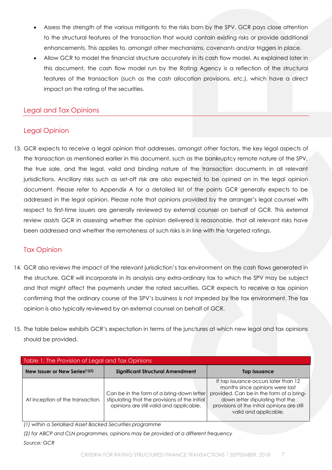- Assess the strength of the various mitigants to the risks born by the SPV. GCR pays close attention to the structural features of the transaction that would contain existing risks or provide additional enhancements. This applies to, amongst other mechanisms, covenants and/or triggers in place.
- Allow GCR to model the financial structure accurately in its cash flow model. As explained later in this document, the cash flow model run by the Rating Agency is a reflection of the structural features of the transaction (such as the cash allocation provisions, etc.), which have a direct impact on the rating of the securities.

## <span id="page-6-0"></span>Legal and Tax Opinions

## <span id="page-6-1"></span>Legal Opinion

13. GCR expects to receive a legal opinion that addresses, amongst other factors, the key legal aspects of the transaction as mentioned earlier in this document, such as the bankruptcy remote nature of the SPV, the true sale, and the legal, valid and binding nature of the transaction documents in all relevant jurisdictions. Ancillary risks such as set-off risk are also expected to be opined on in the legal opinion document. Please refer to Appendix A for a detailed list of the points GCR generally expects to be addressed in the legal opinion. Please note that opinions provided by the arranger's legal counsel with respect to first-time issuers are generally reviewed by external counsel on behalf of GCR. This external review assists GCR in assessing whether the opinion delivered is reasonable, that all relevant risks have been addressed and whether the remoteness of such risks is in line with the targeted ratings.

#### <span id="page-6-2"></span>Tax Opinion

- 14. GCR also reviews the impact of the relevant jurisdiction's tax environment on the cash flows generated in the structure. GCR will incorporate in its analysis any extra-ordinary tax to which the SPV may be subject and that might affect the payments under the rated securities. GCR expects to receive a tax opinion confirming that the ordinary course of the SPV's business is not impeded by the tax environment. The tax opinion is also typically reviewed by an external counsel on behalf of GCR.
- 15. The table below exhibits GCR's expectation in terms of the junctures at which new legal and tax opinions should be provided.

| Table 1: The Provision of Legal and Tax Opinions |                                                                                                                                         |                                                                                                                                                                                                                                  |  |  |
|--------------------------------------------------|-----------------------------------------------------------------------------------------------------------------------------------------|----------------------------------------------------------------------------------------------------------------------------------------------------------------------------------------------------------------------------------|--|--|
| New Issuer or New Series <sup>(1)(2)</sup>       | <b>Significant Structural Amendment</b>                                                                                                 | Tap Issuance                                                                                                                                                                                                                     |  |  |
| At inception of the transaction.                 | Can be in the form of a bring-down letter<br>stipulating that the provisions of the initial<br>opinions are still valid and applicable. | If tap issuance occurs later than 12<br>months since opinions were last<br>provided. Can be in the form of a bring-<br>down letter stipulating that the<br>provisions of the initial opinions are still<br>valid and applicable. |  |  |

*(1) within a Serialised Asset Backed Securities programme*

*(2) for ABCP and CLN programmes, opinions may be provided at a different frequency Source: GCR*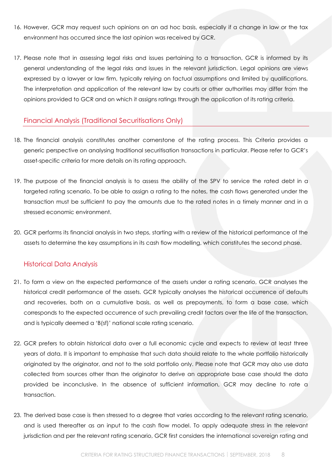- 16. However, GCR may request such opinions on an ad hoc basis, especially if a change in law or the tax environment has occurred since the last opinion was received by GCR.
- 17. Please note that in assessing legal risks and issues pertaining to a transaction, GCR is informed by its general understanding of the legal risks and issues in the relevant jurisdiction. Legal opinions are views expressed by a lawyer or law firm, typically relying on factual assumptions and limited by qualifications. The interpretation and application of the relevant law by courts or other authorities may differ from the opinions provided to GCR and on which it assigns ratings through the application of its rating criteria.

## <span id="page-7-0"></span>Financial Analysis (Traditional Securitisations Only)

- 18. The financial analysis constitutes another cornerstone of the rating process. This Criteria provides a generic perspective on analysing traditional securitisation transactions in particular. Please refer to GCR's asset-specific criteria for more details on its rating approach.
- 19. The purpose of the financial analysis is to assess the ability of the SPV to service the rated debt in a targeted rating scenario. To be able to assign a rating to the notes, the cash flows generated under the transaction must be sufficient to pay the amounts due to the rated notes in a timely manner and in a stressed economic environment.
- 20. GCR performs its financial analysis in two steps, starting with a review of the historical performance of the assets to determine the key assumptions in its cash flow modelling, which constitutes the second phase.

#### <span id="page-7-1"></span>Historical Data Analysis

- 21. To form a view on the expected performance of the assets under a rating scenario, GCR analyses the historical credit performance of the assets. GCR typically analyses the historical occurrence of defaults and recoveries, both on a cumulative basis, as well as prepayments, to form a base case, which corresponds to the expected occurrence of such prevailing credit factors over the life of the transaction, and is typically deemed a 'B(sf)' national scale rating scenario.
- 22. GCR prefers to obtain historical data over a full economic cycle and expects to review at least three years of data. It is important to emphasise that such data should relate to the whole portfolio historically originated by the originator, and not to the sold portfolio only. Please note that GCR may also use data collected from sources other than the originator to derive an appropriate base case should the data provided be inconclusive. In the absence of sufficient information, GCR may decline to rate a transaction.
- 23. The derived base case is then stressed to a degree that varies according to the relevant rating scenario, and is used thereafter as an input to the cash flow model. To apply adequate stress in the relevant jurisdiction and per the relevant rating scenario, GCR first considers the international sovereign rating and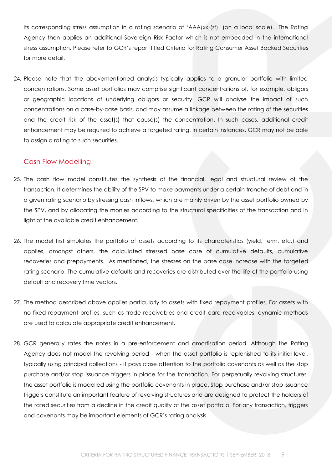its corresponding stress assumption in a rating scenario of 'AAA(xx)(sf)' (on a local scale). The Rating Agency then applies an additional Sovereign Risk Factor which is not embedded in the international stress assumption. Please refer to GCR's report titled Criteria for Rating Consumer Asset Backed Securities for more detail.

24. Please note that the abovementioned analysis typically applies to a granular portfolio with limited concentrations. Some asset portfolios may comprise significant concentrations of, for example, obligors or geographic locations of underlying obligors or security. GCR will analyse the impact of such concentrations on a case-by-case basis, and may assume a linkage between the rating of the securities and the credit risk of the asset(s) that cause(s) the concentration. In such cases, additional credit enhancement may be required to achieve a targeted rating. In certain instances, GCR may not be able to assign a rating to such securities.

#### <span id="page-8-0"></span>Cash Flow Modelling

- 25. The cash flow model constitutes the synthesis of the financial, legal and structural review of the transaction. It determines the ability of the SPV to make payments under a certain tranche of debt and in a given rating scenario by stressing cash inflows, which are mainly driven by the asset portfolio owned by the SPV, and by allocating the monies according to the structural specificities of the transaction and in light of the available credit enhancement.
- 26. The model first simulates the portfolio of assets according to its characteristics (yield, term, etc.) and applies, amongst others, the calculated stressed base case of cumulative defaults, cumulative recoveries and prepayments. As mentioned, the stresses on the base case increase with the targeted rating scenario. The cumulative defaults and recoveries are distributed over the life of the portfolio using default and recovery time vectors.
- 27. The method described above applies particularly to assets with fixed repayment profiles. For assets with no fixed repayment profiles, such as trade receivables and credit card receivables, dynamic methods are used to calculate appropriate credit enhancement.
- 28. GCR generally rates the notes in a pre-enforcement and amortisation period. Although the Rating Agency does not model the revolving period - when the asset portfolio is replenished to its initial level, typically using principal collections - it pays close attention to the portfolio covenants as well as the stop purchase and/or stop issuance triggers in place for the transaction. For perpetually revolving structures, the asset portfolio is modelled using the portfolio covenants in place. Stop purchase and/or stop issuance triggers constitute an important feature of revolving structures and are designed to protect the holders of the rated securities from a decline in the credit quality of the asset portfolio. For any transaction, triggers and covenants may be important elements of GCR's rating analysis.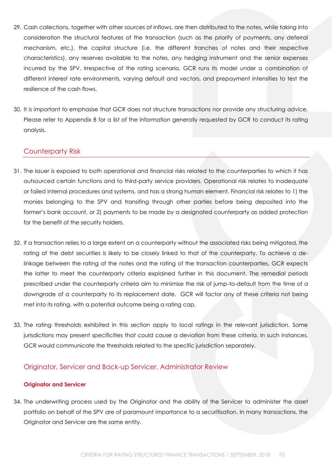- 29. Cash collections, together with other sources of inflows, are then distributed to the notes, while taking into consideration the structural features of the transaction (such as the priority of payments, any deferral mechanism, etc.), the capital structure (i.e. the different tranches of notes and their respective characteristics), any reserves available to the notes, any hedging instrument and the senior expenses incurred by the SPV. Irrespective of the rating scenario, GCR runs its model under a combination of different interest rate environments, varying default and vectors, and prepayment intensities to test the resilience of the cash flows.
- 30. It is important to emphasise that GCR does not structure transactions nor provide any structuring advice. Please refer to Appendix B for a list of the information generally requested by GCR to conduct its rating analysis.

## <span id="page-9-0"></span>Counterparty Risk

- 31. The Issuer is exposed to both operational and financial risks related to the counterparties to which it has outsourced certain functions and to third-party service providers. Operational risk relates to inadequate or failed internal procedures and systems, and has a strong human element. Financial risk relates to 1) the monies belonging to the SPV and transiting through other parties before being deposited into the former's bank account, or 2) payments to be made by a designated counterparty as added protection for the benefit of the security holders.
- 32. If a transaction relies to a large extent on a counterparty without the associated risks being mitigated, the rating of the debt securities is likely to be closely linked to that of the counterparty. To achieve a delinkage between the rating of the notes and the rating of the transaction counterparties, GCR expects the latter to meet the counterparty criteria explained further in this document. The remedial periods prescribed under the counterparty criteria aim to minimise the risk of jump-to-default from the time of a downgrade of a counterparty to its replacement date. GCR will factor any of these criteria not being met into its rating, with a potential outcome being a rating cap.
- 33. The rating thresholds exhibited in this section apply to local ratings in the relevant jurisdiction. Some jurisdictions may present specificities that could cause a deviation from these criteria. In such instances, GCR would communicate the thresholds related to the specific jurisdiction separately.

#### <span id="page-9-1"></span>Originator, Servicer and Back-up Servicer, Administrator Review

#### <span id="page-9-2"></span>**Originator and Servicer**

34. The underwriting process used by the Originator and the ability of the Servicer to administer the asset portfolio on behalf of the SPV are of paramount importance to a securitisation. In many transactions, the Originator and Servicer are the same entity.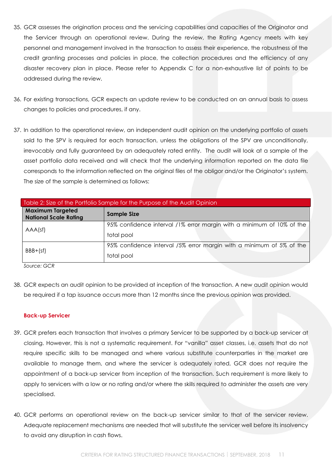- 35. GCR assesses the origination process and the servicing capabilities and capacities of the Originator and the Servicer through an operational review. During the review, the Rating Agency meets with key personnel and management involved in the transaction to assess their experience, the robustness of the credit granting processes and policies in place, the collection procedures and the efficiency of any disaster recovery plan in place. Please refer to Appendix C for a non-exhaustive list of points to be addressed during the review.
- 36. For existing transactions, GCR expects an update review to be conducted on an annual basis to assess changes to policies and procedures, if any.
- 37. In addition to the operational review, an independent audit opinion on the underlying portfolio of assets sold to the SPV is required for each transaction, unless the obligations of the SPV are unconditionally, irrevocably and fully guaranteed by an adequately rated entity. The audit will look at a sample of the asset portfolio data received and will check that the underlying information reported on the data file corresponds to the information reflected on the original files of the obligor and/or the Originator's system. The size of the sample is determined as follows:

| Table 2: Size of the Portfolio Sample for the Purpose of the Audit Opinion |                                                                       |  |  |  |
|----------------------------------------------------------------------------|-----------------------------------------------------------------------|--|--|--|
| <b>Maximum Targeted</b><br><b>National Scale Rating</b>                    | <b>Sample Size</b>                                                    |  |  |  |
| AAA(sf)                                                                    | 95% confidence interval /1% error margin with a minimum of 10% of the |  |  |  |
|                                                                            | total pool                                                            |  |  |  |
| $BBB+(sf)$                                                                 | 95% confidence interval /5% error margin with a minimum of 5% of the  |  |  |  |
|                                                                            | total pool                                                            |  |  |  |

38. GCR expects an audit opinion to be provided at inception of the transaction. A new audit opinion would be required if a tap issuance occurs more than 12 months since the previous opinion was provided.

#### <span id="page-10-0"></span>**Back-up Servicer**

- 39. GCR prefers each transaction that involves a primary Servicer to be supported by a back-up servicer at closing. However, this is not a systematic requirement. For "vanilla" asset classes, i.e. assets that do not require specific skills to be managed and where various substitute counterparties in the market are available to manage them, and where the servicer is adequately rated, GCR does not require the appointment of a back-up servicer from inception of the transaction. Such requirement is more likely to apply to servicers with a low or no rating and/or where the skills required to administer the assets are very specialised.
- 40. GCR performs an operational review on the back-up servicer similar to that of the servicer review. Adequate replacement mechanisms are needed that will substitute the servicer well before its insolvency to avoid any disruption in cash flows.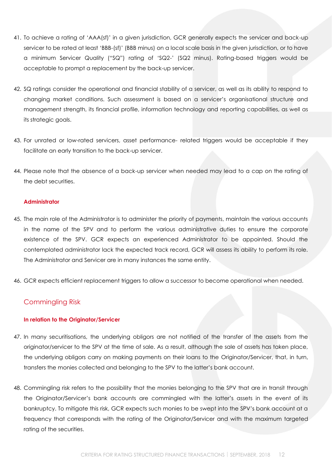- 41. To achieve a rating of 'AAA(sf)' in a given jurisdiction, GCR generally expects the servicer and back-up servicer to be rated at least 'BBB-(sf)' (BBB minus) on a local scale basis in the given jurisdiction, or to have a minimum Servicer Quality ("SQ") rating of 'SQ2-' (SQ2 minus). Rating-based triggers would be acceptable to prompt a replacement by the back-up servicer.
- 42. SQ ratings consider the operational and financial stability of a servicer, as well as its ability to respond to changing market conditions. Such assessment is based on a servicer's organisational structure and management strength, its financial profile, information technology and reporting capabilities, as well as its strategic goals.
- 43. For unrated or low-rated servicers, asset performance- related triggers would be acceptable if they facilitate an early transition to the back-up servicer.
- 44. Please note that the absence of a back-up servicer when needed may lead to a cap on the rating of the debt securities.

#### <span id="page-11-0"></span>**Administrator**

- 45. The main role of the Administrator is to administer the priority of payments, maintain the various accounts in the name of the SPV and to perform the various administrative duties to ensure the corporate existence of the SPV. GCR expects an experienced Administrator to be appointed. Should the contemplated administrator lack the expected track record, GCR will assess its ability to perform its role. The Administrator and Servicer are in many instances the same entity.
- 46. GCR expects efficient replacement triggers to allow a successor to become operational when needed.

#### <span id="page-11-1"></span>Commingling Risk

#### <span id="page-11-2"></span>**In relation to the Originator/Servicer**

- 47. In many securitisations, the underlying obligors are not notified of the transfer of the assets from the originator/servicer to the SPV at the time of sale. As a result, although the sale of assets has taken place, the underlying obligors carry on making payments on their loans to the Originator/Servicer, that, in turn, transfers the monies collected and belonging to the SPV to the latter's bank account.
- 48. Commingling risk refers to the possibility that the monies belonging to the SPV that are in transit through the Originator/Servicer's bank accounts are commingled with the latter's assets in the event of its bankruptcy. To mitigate this risk, GCR expects such monies to be swept into the SPV's bank account at a frequency that corresponds with the rating of the Originator/Servicer and with the maximum targeted rating of the securities.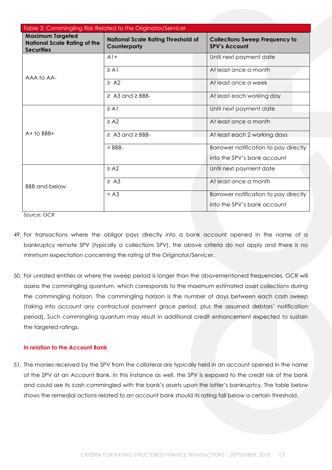| Table 3: Commingling Risk Related to the Originator/Servicer                        |                                                           |                                                               |  |  |
|-------------------------------------------------------------------------------------|-----------------------------------------------------------|---------------------------------------------------------------|--|--|
| <b>Maximum Targeted</b><br><b>National Scale Rating of the</b><br><b>Securities</b> | <b>National Scale Rating Threshold of</b><br>Counterparty | <b>Collections Sweep Frequency to</b><br><b>SPV's Account</b> |  |  |
|                                                                                     | $A1+$                                                     | Until next payment date                                       |  |  |
| AAA to AA-                                                                          | $\geq$ A 1                                                | At least once a month                                         |  |  |
|                                                                                     | $\geq$ A2                                                 | At least once a week                                          |  |  |
|                                                                                     | $\geq$ A3 and $\geq$ BBB-                                 | At least each working day                                     |  |  |
|                                                                                     | $\geq$ A1                                                 | Until next payment date                                       |  |  |
| $A+$ to $BBB+$                                                                      | $\geq$ A2                                                 | At least once a month                                         |  |  |
|                                                                                     | $\geq$ A3 and $\geq$ BBB-                                 | At least each 2 working days                                  |  |  |
|                                                                                     | $<$ BBB-                                                  | Borrower notification to pay directly                         |  |  |
|                                                                                     |                                                           | into the SPV's bank account                                   |  |  |
|                                                                                     | $\geq$ A2                                                 | Until next payment date                                       |  |  |
| <b>BBB</b> and below                                                                | $\geq$ A3                                                 | At least once a month                                         |  |  |
|                                                                                     | < A3                                                      | Borrower notification to pay directly                         |  |  |
|                                                                                     |                                                           | into the SPV's bank account                                   |  |  |

- 49. For transactions where the obligor pays directly into a bank account opened in the name of a bankruptcy remote SPV (typically a collections SPV), the above criteria do not apply and there is no minimum expectation concerning the rating of the Originator/Servicer.
- 50. For unrated entities or where the sweep period is longer than the abovementioned frequencies, GCR will assess the commingling quantum, which corresponds to the maximum estimated asset collections during the commingling horizon. The commingling horizon is the number of days between each cash sweep (taking into account any contractual payment grace period, plus the assumed debtors' notification period). Such commingling quantum may result in additional credit enhancement expected to sustain the targeted ratings.

#### <span id="page-12-0"></span>**In relation to the Account Bank**

51. The monies received by the SPV from the collateral are typically held in an account opened in the name of the SPV at an Account Bank. In this instance as well, the SPV is exposed to the credit risk of the bank and could see its cash commingled with the bank's assets upon the latter's bankruptcy. The table below shows the remedial actions related to an account bank should its rating fall below a certain threshold.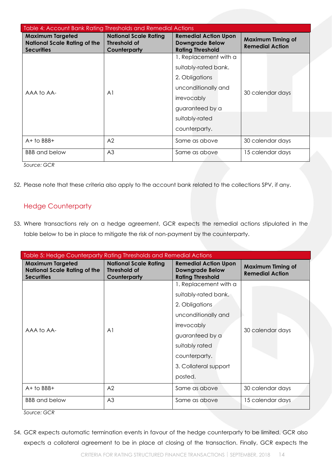| Table 4: Account Bank Rating Thresholds and Remedial Actions                        |                                                              |                                                                                                                                        |                  |  |
|-------------------------------------------------------------------------------------|--------------------------------------------------------------|----------------------------------------------------------------------------------------------------------------------------------------|------------------|--|
| <b>Maximum Targeted</b><br><b>National Scale Rating of the</b><br><b>Securities</b> | <b>National Scale Rating</b><br>Threshold of<br>Counterparty | <b>Remedial Action Upon</b><br><b>Maximum Timing of</b><br><b>Downgrade Below</b><br><b>Remedial Action</b><br><b>Rating Threshold</b> |                  |  |
|                                                                                     |                                                              | 1. Replacement with a                                                                                                                  |                  |  |
|                                                                                     |                                                              | suitably-rated bank.                                                                                                                   |                  |  |
|                                                                                     |                                                              | 2. Obligations                                                                                                                         |                  |  |
| AAA to AA-                                                                          | A <sub>1</sub>                                               | unconditionally and                                                                                                                    |                  |  |
|                                                                                     |                                                              | irrevocably                                                                                                                            | 30 calendar days |  |
|                                                                                     |                                                              | guaranteed by a                                                                                                                        |                  |  |
|                                                                                     |                                                              | suitably-rated                                                                                                                         |                  |  |
|                                                                                     |                                                              | counterparty.                                                                                                                          |                  |  |
| $A+$ to BBB+                                                                        | A <sub>2</sub>                                               | Same as above                                                                                                                          | 30 calendar days |  |
| <b>BBB</b> and below<br>$\sim$ $\sim$ $\sim$                                        | A <sub>3</sub>                                               | Same as above                                                                                                                          | 15 calendar days |  |

52. Please note that these criteria also apply to the account bank related to the collections SPV, if any.

## <span id="page-13-0"></span>Hedge Counterparty

53. Where transactions rely on a hedge agreement, GCR expects the remedial actions stipulated in the table below to be in place to mitigate the risk of non-payment by the counterparty.

| Table 5: Hedge Counterparty Rating Thresholds and Remedial Actions                  |                                                              |                                                                                  |                                                    |  |
|-------------------------------------------------------------------------------------|--------------------------------------------------------------|----------------------------------------------------------------------------------|----------------------------------------------------|--|
| <b>Maximum Targeted</b><br><b>National Scale Rating of the</b><br><b>Securities</b> | <b>National Scale Rating</b><br>Threshold of<br>Counterparty | <b>Remedial Action Upon</b><br><b>Downgrade Below</b><br><b>Rating Threshold</b> | <b>Maximum Timing of</b><br><b>Remedial Action</b> |  |
|                                                                                     |                                                              | 1. Replacement with a                                                            |                                                    |  |
|                                                                                     |                                                              | suitably-rated bank.                                                             |                                                    |  |
|                                                                                     |                                                              | 2. Obligations                                                                   |                                                    |  |
|                                                                                     | A <sub>1</sub>                                               | unconditionally and                                                              |                                                    |  |
| AAA to AA-                                                                          |                                                              | irrevocably                                                                      | 30 calendar days                                   |  |
|                                                                                     |                                                              | guaranteed by a                                                                  |                                                    |  |
|                                                                                     |                                                              | suitably rated                                                                   |                                                    |  |
|                                                                                     |                                                              | counterparty.                                                                    |                                                    |  |
|                                                                                     |                                                              | 3. Collateral support                                                            |                                                    |  |
|                                                                                     |                                                              | posted.                                                                          |                                                    |  |
| $A+$ to BBB+                                                                        | A2                                                           | Same as above                                                                    | 30 calendar days                                   |  |
| <b>BBB</b> and below                                                                | A <sub>3</sub>                                               | Same as above                                                                    | 15 calendar days                                   |  |

*Source: GCR*

54. GCR expects automatic termination events in favour of the hedge counterparty to be limited. GCR also expects a collateral agreement to be in place at closing of the transaction. Finally, GCR expects the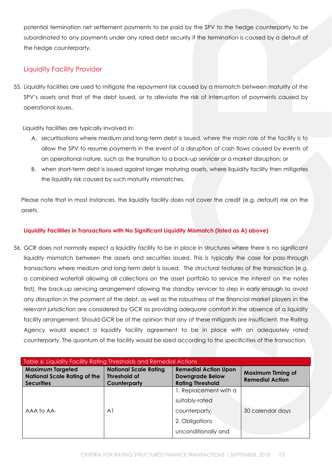potential termination net settlement payments to be paid by the SPV to the hedge counterparty to be subordinated to any payments under any rated debt security if the termination is caused by a default of the hedge counterparty.

## <span id="page-14-0"></span>Liquidity Facility Provider

55. Liquidity facilities are used to mitigate the repayment risk caused by a mismatch between maturity of the SPV's assets and that of the debt issued, or to alleviate the risk of interruption of payments caused by operational issues.

Liquidity facilities are typically involved in:

- A. securitisations where medium and long-term debt is issued, where the main role of the facility is to allow the SPV to resume payments in the event of a disruption of cash flows caused by events of an operational nature, such as the transition to a back-up servicer or a market disruption; or
- B. when short-term debt is issued against longer maturing assets, where liquidity facility then mitigates the liquidity risk caused by such maturity mismatches.

Please note that in most instances, the liquidity facility does not cover the credit (e.g. default) risk on the assets.

#### <span id="page-14-1"></span>**Liquidity Facilities in Transactions with No Significant Liquidity Mismatch (listed as A) above)**

56. GCR does not normally expect a liquidity facility to be in place in structures where there is no significant liquidity mismatch between the assets and securities issued. This is typically the case for pass-through transactions where medium and long-term debt is issued. The structural features of the transaction (e.g. a combined waterfall allowing all collections on the asset portfolio to service the interest on the notes first), the back-up servicing arrangement allowing the standby servicer to step in early enough to avoid any disruption in the payment of the debt, as well as the robustness of the financial market players in the relevant jurisdiction are considered by GCR as providing adequate comfort in the absence of a liquidity facility arrangement. Should GCR be of the opinion that any of these mitigants are insufficient, the Rating Agency would expect a liquidity facility agreement to be in place with an adequately rated counterparty. The quantum of the facility would be sized according to the specificities of the transaction.

| Table 6: Liquidity Facility Rating Thresholds and Remedial Actions                  |                                                                     |                                                                                  |                                                    |  |
|-------------------------------------------------------------------------------------|---------------------------------------------------------------------|----------------------------------------------------------------------------------|----------------------------------------------------|--|
| <b>Maximum Targeted</b><br><b>National Scale Rating of the</b><br><b>Securities</b> | <b>National Scale Rating</b><br><b>Threshold of</b><br>Counterparty | <b>Remedial Action Upon</b><br><b>Downgrade Below</b><br><b>Rating Threshold</b> | <b>Maximum Timing of</b><br><b>Remedial Action</b> |  |
|                                                                                     |                                                                     | 1. Replacement with a                                                            |                                                    |  |
|                                                                                     |                                                                     | suitably-rated                                                                   |                                                    |  |
| AAA to AA-                                                                          | A <sup>1</sup>                                                      | counterparty.                                                                    | 30 calendar days                                   |  |
|                                                                                     |                                                                     | 2. Obligations                                                                   |                                                    |  |
|                                                                                     |                                                                     | unconditionally and                                                              |                                                    |  |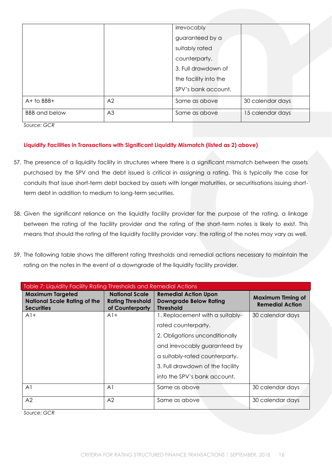|                      |                | irrevocably           |                  |
|----------------------|----------------|-----------------------|------------------|
|                      |                | guaranteed by a       |                  |
|                      |                | suitably rated        |                  |
|                      |                | counterparty.         |                  |
|                      |                | 3. Full drawdown of   |                  |
|                      |                | the facility into the |                  |
|                      |                | SPV's bank account.   |                  |
| $A+$ to BBB+         | A <sub>2</sub> | Same as above         | 30 calendar days |
| <b>BBB</b> and below | A <sub>3</sub> | Same as above         | 15 calendar days |

#### <span id="page-15-0"></span>**Liquidity Facilities in Transactions with Significant Liquidity Mismatch (listed as 2) above)**

- 57. The presence of a liquidity facility in structures where there is a significant mismatch between the assets purchased by the SPV and the debt issued is critical in assigning a rating. This is typically the case for conduits that issue short-term debt backed by assets with longer maturities, or securitisations issuing shortterm debt in addition to medium to long-term securities.
- 58. Given the significant reliance on the liquidity facility provider for the purpose of the rating, a linkage between the rating of the facility provider and the rating of the short-term notes is likely to exist. This means that should the rating of the liquidity facility provider vary, the rating of the notes may vary as well.
- 59. The following table shows the different rating thresholds and remedial actions necessary to maintain the rating on the notes in the event of a downgrade of the liquidity facility provider.

| Table 7: Liquidity Facility Rating Thresholds and Remedial Actions                  |                                                                     |                                                                                  |                                                    |  |
|-------------------------------------------------------------------------------------|---------------------------------------------------------------------|----------------------------------------------------------------------------------|----------------------------------------------------|--|
| <b>Maximum Targeted</b><br><b>National Scale Rating of the</b><br><b>Securities</b> | <b>National Scale</b><br><b>Rating Threshold</b><br>of Counterparty | <b>Remedial Action Upon</b><br><b>Downgrade Below Rating</b><br><b>Threshold</b> | <b>Maximum Timing of</b><br><b>Remedial Action</b> |  |
| $A1+$                                                                               | $A1+$                                                               | 1. Replacement with a suitably-                                                  | 30 calendar days                                   |  |
|                                                                                     |                                                                     | rated counterparty.                                                              |                                                    |  |
|                                                                                     |                                                                     | 2. Obligations unconditionally                                                   |                                                    |  |
|                                                                                     |                                                                     | and irrevocably guaranteed by                                                    |                                                    |  |
|                                                                                     |                                                                     | a suitably-rated counterparty.                                                   |                                                    |  |
|                                                                                     |                                                                     | 3. Full drawdown of the facility                                                 |                                                    |  |
|                                                                                     |                                                                     | into the SPV's bank account.                                                     |                                                    |  |
| A <sub>1</sub>                                                                      | A <sub>1</sub>                                                      | Same as above                                                                    | 30 calendar days                                   |  |
| A2                                                                                  | A <sub>2</sub>                                                      | Same as above                                                                    | 30 calendar days                                   |  |

*Source: GCR*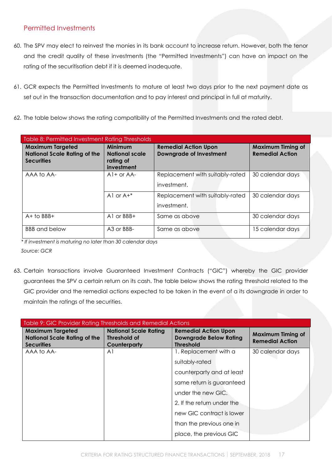## <span id="page-16-0"></span>Permitted Investments

- 60. The SPV may elect to reinvest the monies in its bank account to increase return. However, both the tenor and the credit quality of these investments (the "Permitted Investments") can have an impact on the rating of the securitisation debt if it is deemed inadequate.
- 61. GCR expects the Permitted Investments to mature at least two days prior to the next payment date as set out in the transaction documentation and to pay interest and principal in full at maturity.
- 62. The table below shows the rating compatibility of the Permitted Investments and the rated debt.

| Table 8: Permitted Investment Rating Thresholds                                     |                                                             |                                                               |                                                    |  |
|-------------------------------------------------------------------------------------|-------------------------------------------------------------|---------------------------------------------------------------|----------------------------------------------------|--|
| <b>Maximum Targeted</b><br><b>National Scale Rating of the</b><br><b>Securities</b> | Minimum<br><b>National scale</b><br>rating of<br>investment | <b>Remedial Action Upon</b><br><b>Downgrade of Investment</b> | <b>Maximum Timing of</b><br><b>Remedial Action</b> |  |
| AAA to AA-                                                                          | $A1+$ or $AA-$                                              | Replacement with suitably-rated<br>investment.                | 30 calendar days                                   |  |
|                                                                                     | Al or $A+^*$                                                | Replacement with suitably-rated<br>investment.                | 30 calendar days                                   |  |
| $A+$ to BBB+                                                                        | A $1$ or $BBB+$                                             | Same as above                                                 | 30 calendar days                                   |  |
| <b>BBB</b> and below                                                                | A <sub>3</sub> or BBB-                                      | Same as above                                                 | 15 calendar days                                   |  |

*\* If investment is maturing no later than 30 calendar days* 

*Source: GCR*

63. Certain transactions involve Guaranteed Investment Contracts ("GIC") whereby the GIC provider guarantees the SPV a certain return on its cash. The table below shows the rating threshold related to the GIC provider and the remedial actions expected to be taken in the event of a its downgrade in order to maintain the ratings of the securities.

| Table 9: GIC Provider Rating Thresholds and Remedial Actions                        |                                                                     |                                                                                  |                                                    |
|-------------------------------------------------------------------------------------|---------------------------------------------------------------------|----------------------------------------------------------------------------------|----------------------------------------------------|
| <b>Maximum Targeted</b><br><b>National Scale Rating of the</b><br><b>Securities</b> | <b>National Scale Rating</b><br><b>Threshold of</b><br>Counterparty | <b>Remedial Action Upon</b><br><b>Downgrade Below Rating</b><br><b>Threshold</b> | <b>Maximum Timing of</b><br><b>Remedial Action</b> |
| AAA to AA-                                                                          | A1                                                                  | 1. Replacement with a                                                            | 30 calendar days                                   |
|                                                                                     |                                                                     | suitably-rated                                                                   |                                                    |
|                                                                                     |                                                                     | counterparty and at least                                                        |                                                    |
|                                                                                     |                                                                     | same return is guaranteed                                                        |                                                    |
|                                                                                     |                                                                     | under the new GIC.                                                               |                                                    |
|                                                                                     |                                                                     | 2. If the return under the                                                       |                                                    |
|                                                                                     |                                                                     | new GIC contract is lower                                                        |                                                    |
|                                                                                     |                                                                     | than the previous one in                                                         |                                                    |
|                                                                                     |                                                                     | place, the previous GIC                                                          |                                                    |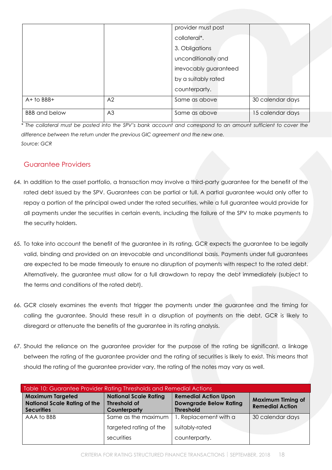|                      |                | provider must post     |                  |
|----------------------|----------------|------------------------|------------------|
|                      |                | collateral*.           |                  |
|                      |                | 3. Obligations         |                  |
|                      |                | unconditionally and    |                  |
|                      |                | irrevocably guaranteed |                  |
|                      |                | by a suitably rated    |                  |
|                      |                | counterparty.          |                  |
| $A+$ to BBB+         | A2             | Same as above          | 30 calendar days |
| <b>BBB</b> and below | A <sub>3</sub> | Same as above          | 15 calendar days |

*\* The collateral must be posted into the SPV's bank account and correspond to an amount sufficient to cover the difference between the return under the previous GIC agreement and the new one. Source: GCR*

## <span id="page-17-0"></span>Guarantee Providers

- 64. In addition to the asset portfolio, a transaction may involve a third-party guarantee for the benefit of the rated debt issued by the SPV. Guarantees can be partial or full. A partial guarantee would only offer to repay a portion of the principal owed under the rated securities, while a full guarantee would provide for all payments under the securities in certain events, including the failure of the SPV to make payments to the security holders.
- 65. To take into account the benefit of the guarantee in its rating, GCR expects the guarantee to be legally valid, binding and provided on an irrevocable and unconditional basis. Payments under full guarantees are expected to be made timeously to ensure no disruption of payments with respect to the rated debt. Alternatively, the guarantee must allow for a full drawdown to repay the debt immediately (subject to the terms and conditions of the rated debt).
- 66. GCR closely examines the events that trigger the payments under the guarantee and the timing for calling the guarantee. Should these result in a disruption of payments on the debt, GCR is likely to disregard or attenuate the benefits of the guarantee in its rating analysis.
- 67. Should the reliance on the guarantee provider for the purpose of the rating be significant, a linkage between the rating of the guarantee provider and the rating of securities is likely to exist. This means that should the rating of the guarantee provider vary, the rating of the notes may vary as well.

| Table 10: Guarantee Provider Rating Thresholds and Remedial Actions |                                                     |                                                              |                                                    |
|---------------------------------------------------------------------|-----------------------------------------------------|--------------------------------------------------------------|----------------------------------------------------|
| <b>Maximum Targeted</b><br><b>National Scale Rating of the</b>      | <b>National Scale Rating</b><br><b>Threshold of</b> | <b>Remedial Action Upon</b><br><b>Downgrade Below Rating</b> | <b>Maximum Timing of</b><br><b>Remedial Action</b> |
| <b>Securities</b>                                                   | Counterparty                                        | <b>Threshold</b>                                             |                                                    |
| AAA to BBB                                                          | Same as the maximum                                 | 1. Replacement with a                                        | 30 calendar days                                   |
|                                                                     | targeted rating of the                              | suitably-rated                                               |                                                    |
|                                                                     | securities                                          | counterparty.                                                |                                                    |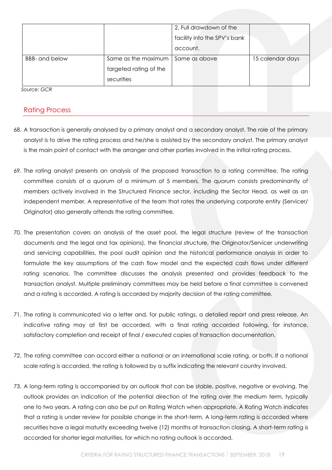|                       |                        | 2. Full drawdown of the      |                  |
|-----------------------|------------------------|------------------------------|------------------|
|                       |                        | facility into the SPV's bank |                  |
|                       |                        | account.                     |                  |
| <b>BBB-</b> and below | Same as the maximum    | Same as above                | 15 calendar days |
|                       | targeted rating of the |                              |                  |
|                       | securities             |                              |                  |

## <span id="page-18-0"></span>Rating Process

- 68. A transaction is generally analysed by a primary analyst and a secondary analyst. The role of the primary analyst is to drive the rating process and he/she is assisted by the secondary analyst. The primary analyst is the main point of contact with the arranger and other parties involved in the initial rating process.
- 69. The rating analyst presents an analysis of the proposed transaction to a rating committee. The rating committee consists of a quorum of a minimum of 5 members. The quorum consists predominantly of members actively involved in the Structured Finance sector, including the Sector Head, as well as an independent member. A representative of the team that rates the underlying corporate entity (Servicer/ Originator) also generally attends the rating committee.
- 70. The presentation covers an analysis of the asset pool, the legal structure (review of the transaction documents and the legal and tax opinions), the financial structure, the Originator/Servicer underwriting and servicing capabilities, the pool audit opinion and the historical performance analysis in order to formulate the key assumptions of the cash flow model and the expected cash flows under different rating scenarios. The committee discusses the analysis presented and provides feedback to the transaction analyst. Multiple preliminary committees may be held before a final committee is convened and a rating is accorded. A rating is accorded by majority decision of the rating committee.
- 71. The rating is communicated via a letter and, for public ratings, a detailed report and press release. An indicative rating may at first be accorded, with a final rating accorded following, for instance, satisfactory completion and receipt of final / executed copies of transaction documentation.
- 72. The rating committee can accord either a national or an international scale rating, or both. If a national scale rating is accorded, the rating is followed by a suffix indicating the relevant country involved.
- 73. A long-term rating is accompanied by an outlook that can be stable, positive, negative or evolving. The outlook provides an indication of the potential direction of the rating over the medium term, typically one to two years. A rating can also be put on Rating Watch when appropriate. A Rating Watch indicates that a rating is under review for possible change in the short-term. A long-term rating is accorded where securities have a legal maturity exceeding twelve (12) months at transaction closing. A short-term rating is accorded for shorter legal maturities, for which no rating outlook is accorded.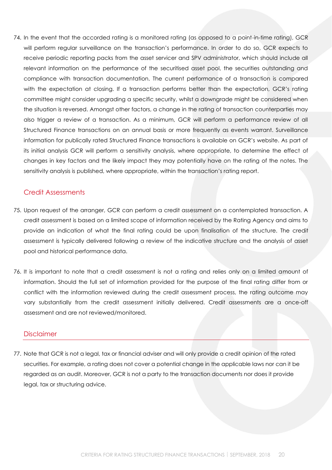74. In the event that the accorded rating is a monitored rating (as opposed to a point-in-time rating), GCR will perform regular surveillance on the transaction's performance. In order to do so, GCR expects to receive periodic reporting packs from the asset servicer and SPV administrator, which should include all relevant information on the performance of the securitised asset pool, the securities outstanding and compliance with transaction documentation. The current performance of a transaction is compared with the expectation at closing. If a transaction performs better than the expectation, GCR's rating committee might consider upgrading a specific security, whilst a downgrade might be considered when the situation is reversed. Amongst other factors, a change in the rating of transaction counterparties may also trigger a review of a transaction. As a minimum, GCR will perform a performance review of all Structured Finance transactions on an annual basis or more frequently as events warrant. Surveillance information for publically rated Structured Finance transactions is available on GCR's website. As part of its initial analysis GCR will perform a sensitivity analysis, where appropriate, to determine the effect of changes in key factors and the likely impact they may potentially have on the rating of the notes. The sensitivity analysis is published, where appropriate, within the transaction's rating report.

#### <span id="page-19-0"></span>Credit Assessments

- 75. Upon request of the arranger, GCR can perform a credit assessment on a contemplated transaction. A credit assessment is based on a limited scope of information received by the Rating Agency and aims to provide an indication of what the final rating could be upon finalisation of the structure. The credit assessment is typically delivered following a review of the indicative structure and the analysis of asset pool and historical performance data.
- 76. It is important to note that a credit assessment is not a rating and relies only on a limited amount of information. Should the full set of information provided for the purpose of the final rating differ from or conflict with the information reviewed during the credit assessment process, the rating outcome may vary substantially from the credit assessment initially delivered. Credit assessments are a once-off assessment and are not reviewed/monitored.

#### <span id="page-19-1"></span>Disclaimer

77. Note that GCR is not a legal, tax or financial adviser and will only provide a credit opinion of the rated securities. For example, a rating does not cover a potential change in the applicable laws nor can it be regarded as an audit. Moreover, GCR is not a party to the transaction documents nor does it provide legal, tax or structuring advice.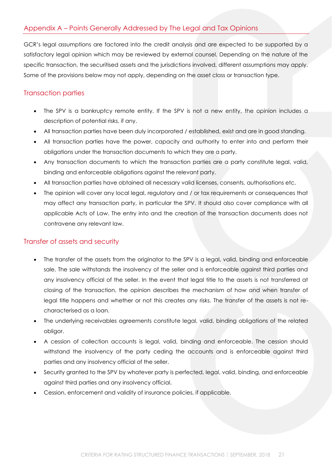## <span id="page-20-0"></span>Appendix A – Points Generally Addressed by The Legal and Tax Opinions

GCR's legal assumptions are factored into the credit analysis and are expected to be supported by a satisfactory legal opinion which may be reviewed by external counsel. Depending on the nature of the specific transaction, the securitised assets and the jurisdictions involved, different assumptions may apply. Some of the provisions below may not apply, depending on the asset class or transaction type.

#### <span id="page-20-1"></span>Transaction parties

- The SPV is a bankruptcy remote entity. If the SPV is not a new entity, the opinion includes a description of potential risks, if any.
- All transaction parties have been duly incorporated / established, exist and are in good standing.
- All transaction parties have the power, capacity and authority to enter into and perform their obligations under the transaction documents to which they are a party.
- Any transaction documents to which the transaction parties are a party constitute legal, valid, binding and enforceable obligations against the relevant party.
- All transaction parties have obtained all necessary valid licenses, consents, authorisations etc.
- The opinion will cover any local legal, regulatory and / or tax requirements or consequences that may affect any transaction party, in particular the SPV. It should also cover compliance with all applicable Acts of Law. The entry into and the creation of the transaction documents does not contravene any relevant law.

#### <span id="page-20-2"></span>Transfer of assets and security

- The transfer of the assets from the originator to the SPV is a legal, valid, binding and enforceable sale. The sale withstands the insolvency of the seller and is enforceable against third parties and any insolvency official of the seller. In the event that legal title to the assets is not transferred at closing of the transaction, the opinion describes the mechanism of how and when transfer of legal title happens and whether or not this creates any risks. The transfer of the assets is not recharacterised as a loan.
- The underlying receivables agreements constitute legal, valid, binding obligations of the related obligor.
- A cession of collection accounts is legal, valid, binding and enforceable. The cession should withstand the insolvency of the party ceding the accounts and is enforceable against third parties and any insolvency official of the seller.
- Security granted to the SPV by whatever party is perfected, legal, valid, binding, and enforceable against third parties and any insolvency official.
- Cession, enforcement and validity of insurance policies, if applicable.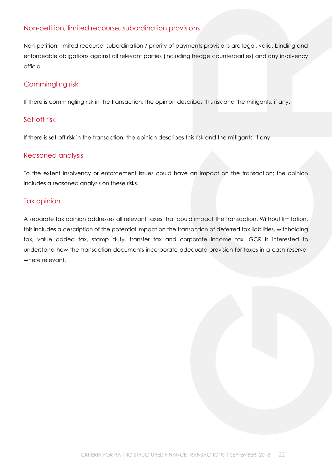## <span id="page-21-0"></span>Non-petition, limited recourse, subordination provisions

Non-petition, limited recourse, subordination / priority of payments provisions are legal, valid, binding and enforceable obligations against all relevant parties (including hedge counterparties) and any insolvency official.

## <span id="page-21-1"></span>Commingling risk

If there is commingling risk in the transaction, the opinion describes this risk and the mitigants, if any.

## <span id="page-21-2"></span>Set-off risk

If there is set-off risk in the transaction, the opinion describes this risk and the mitigants, if any.

#### <span id="page-21-3"></span>Reasoned analysis

To the extent insolvency or enforcement issues could have an impact on the transaction; the opinion includes a reasoned analysis on these risks.

#### <span id="page-21-4"></span>Tax opinion

A separate tax opinion addresses all relevant taxes that could impact the transaction. Without limitation, this includes a description of the potential impact on the transaction of deferred tax liabilities, withholding tax, value added tax, stamp duty, transfer tax and corporate income tax. GCR is interested to understand how the transaction documents incorporate adequate provision for taxes in a cash reserve, where relevant.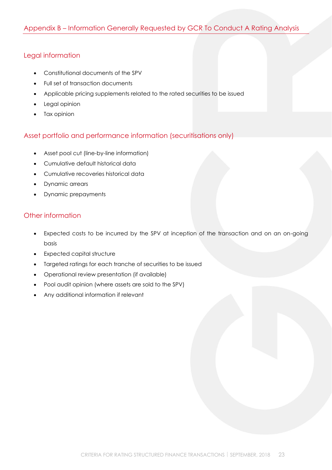## <span id="page-22-1"></span><span id="page-22-0"></span>Legal information

- Constitutional documents of the SPV
- Full set of transaction documents
- Applicable pricing supplements related to the rated securities to be issued
- Legal opinion
- Tax opinion

## <span id="page-22-2"></span>Asset portfolio and performance information (securitisations only)

- Asset pool cut (line-by-line information)
- Cumulative default historical data
- Cumulative recoveries historical data
- Dynamic arrears
- Dynamic prepayments

## <span id="page-22-3"></span>Other information

- Expected costs to be incurred by the SPV at inception of the transaction and on an on-going basis
- Expected capital structure
- Targeted ratings for each tranche of securities to be issued
- Operational review presentation (if available)
- Pool audit opinion (where assets are sold to the SPV)
- Any additional information if relevant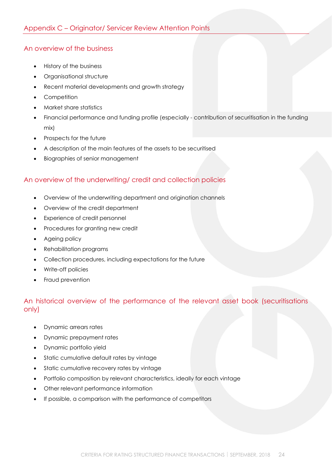## <span id="page-23-1"></span><span id="page-23-0"></span>An overview of the business

- History of the business
- Organisational structure
- Recent material developments and growth strategy
- Competition
- Market share statistics
- Financial performance and funding profile (especially contribution of securitisation in the funding mix)
- Prospects for the future
- A description of the main features of the assets to be securitised
- Biographies of senior management

## <span id="page-23-2"></span>An overview of the underwriting/ credit and collection policies

- Overview of the underwriting department and origination channels
- Overview of the credit department
- Experience of credit personnel
- Procedures for granting new credit
- Ageing policy
- Rehabilitation programs
- Collection procedures, including expectations for the future
- Write-off policies
- Fraud prevention

## <span id="page-23-3"></span>An historical overview of the performance of the relevant asset book (securitisations only)

- Dynamic arrears rates
- Dynamic prepayment rates
- Dynamic portfolio yield
- Static cumulative default rates by vintage
- Static cumulative recovery rates by vintage
- Portfolio composition by relevant characteristics, ideally for each vintage
- Other relevant performance information
- If possible, a comparison with the performance of competitors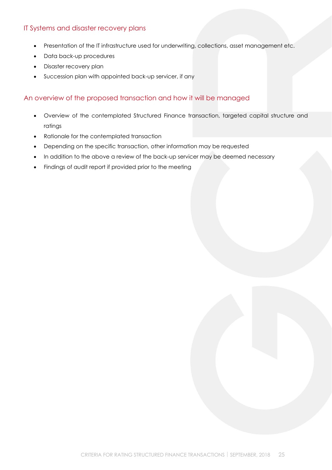## <span id="page-24-0"></span>IT Systems and disaster recovery plans

- Presentation of the IT infrastructure used for underwriting, collections, asset management etc.
- Data back-up procedures
- Disaster recovery plan
- Succession plan with appointed back-up servicer, if any

#### <span id="page-24-1"></span>An overview of the proposed transaction and how it will be managed

- Overview of the contemplated Structured Finance transaction, targeted capital structure and ratings
- Rationale for the contemplated transaction
- Depending on the specific transaction, other information may be requested
- In addition to the above a review of the back-up servicer may be deemed necessary
- Findings of audit report if provided prior to the meeting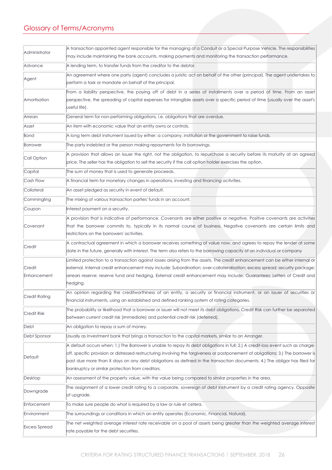## <span id="page-25-0"></span>Glossary of Terms/Acronyms

| Administrator        | A transaction appointed agent responsible for the managing of a Conduit or a Special Purpose Vehicle. The responsibilities                                                                                        |
|----------------------|-------------------------------------------------------------------------------------------------------------------------------------------------------------------------------------------------------------------|
|                      | may include maintaining the bank accounts, making payments and monitoring the transaction performance.                                                                                                            |
| Advance              | A lending term, to transfer funds from the creditor to the debtor.                                                                                                                                                |
| Agent                | An agreement where one party (agent) concludes a juristic act on behalf of the other (principal). The agent undertakes to                                                                                         |
|                      | perform a task or mandate on behalf of the principal.                                                                                                                                                             |
|                      | From a liability perspective, the paying off of debt in a series of installments over a period of time. From an asset                                                                                             |
| Amortisation         | perspective, the spreading of capital expenses for intangible assets over a specific period of time (usually over the asset's                                                                                     |
|                      | useful life).                                                                                                                                                                                                     |
| Arrears              | General term for non-performing obligations, i.e. obligations that are overdue.                                                                                                                                   |
| Asset                | An item with economic value that an entity owns or controls.                                                                                                                                                      |
| Bond                 | A long term debt instrument issued by either: a company, institution or the government to raise funds.                                                                                                            |
| Borrower             | The party indebted or the person making repayments for its borrowings.                                                                                                                                            |
| Call Option          | A provision that allows an Issuer the right, not the obligation, to repurchase a security before its maturity at an agreed                                                                                        |
|                      | price. The seller has the obligation to sell the security if the call option holder exercises the option.                                                                                                         |
| Capital              | The sum of money that is used to generate proceeds.                                                                                                                                                               |
| Cash Flow            | A financial term for monetary changes in operations, investing and financing activities.                                                                                                                          |
| Collateral           | An asset pledged as security in event of default.                                                                                                                                                                 |
| Commingling          | The mixing of various transaction parties' funds in an account.                                                                                                                                                   |
| Coupon               | Interest payment on a security.                                                                                                                                                                                   |
|                      | A provision that is indicative of performance. Covenants are either positive or negative. Positive covenants are activities                                                                                       |
| Covenant             | that the borrower commits to, typically in its normal course of business. Negative covenants are certain limits and                                                                                               |
|                      | restrictions on the borrowers' activities.                                                                                                                                                                        |
| Credit               | A contractual agreement in which a borrower receives something of value now, and agrees to repay the lender at some                                                                                               |
|                      | date in the future, generally with interest. The term also refers to the borrowing capacity of an individual or company                                                                                           |
|                      | Limited protection to a transaction against losses arising from the assets. The credit enhancement can be either internal or                                                                                      |
| Credit               | external. Internal credit enhancement may include: Subordination; over-collateralisation; excess spread; security package;                                                                                        |
| Enhancement          | arrears reserve; reserve fund and hedging. External credit enhancement may include: Guarantees; Letters of Credit and                                                                                             |
|                      | hedging.                                                                                                                                                                                                          |
| Credit Rating        | An opinion regarding the creditworthiness of an entity, a security or financial instrument, or an issuer of securities or                                                                                         |
|                      | financial instruments, using an established and defined ranking system of rating categories.                                                                                                                      |
| Credit Risk          | The probability or likelihood that a borrower or issuer will not meet its debt obligations. Credit Risk can further be separated<br>between current credit risk (immediate) and potential credit risk (deferred). |
|                      |                                                                                                                                                                                                                   |
| Debt                 | An obligation to repay a sum of money.                                                                                                                                                                            |
| Debt Sponsor         | Usually as Investment bank that brings a transaction to the capital markets, similar to an Arranger.                                                                                                              |
|                      | A default occurs when: 1.) The Borrower is unable to repay its debt obligations in full; 2.) A credit-loss event such as charge-                                                                                  |
| Default              | off, specific provision or distressed restructuring involving the forgiveness or postponement of obligations; 3.) The borrower is                                                                                 |
|                      | past due more than X days on any debt obligations as defined in the transaction documents; 4.) The obligor has filed for<br>bankruptcy or similar protection from creditors.                                      |
| Desktop              | An assessment of the property value, with the value being compared to similar properties in the area.                                                                                                             |
|                      |                                                                                                                                                                                                                   |
| Downgrade            | The assignment of a lower credit rating to a corporate, sovereign of debt instrument by a credit rating agency. Opposite<br>of upgrade.                                                                           |
|                      |                                                                                                                                                                                                                   |
| Enforcement          | To make sure people do what is required by a law or rule et cetera.                                                                                                                                               |
| Environment          | The surroundings or conditions in which an entity operates (Economic, Financial, Natural).                                                                                                                        |
| <b>Excess Spread</b> | The net weighted average interest rate receivable on a pool of assets being greater than the weighted average interest                                                                                            |
|                      | rate payable for the debt securities.                                                                                                                                                                             |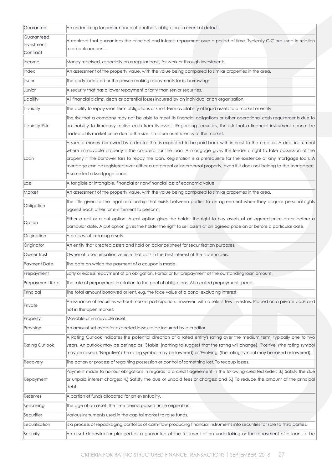| Guarantee             | An undertaking for performance of another's obligations in event of default.                                                                                                                                                                                   |
|-----------------------|----------------------------------------------------------------------------------------------------------------------------------------------------------------------------------------------------------------------------------------------------------------|
| Guaranteed            | A contract that guarantees the principal and interest repayment over a period of time. Typically GIC are used in relation                                                                                                                                      |
| Investment            | to a bank account.                                                                                                                                                                                                                                             |
| Contract              |                                                                                                                                                                                                                                                                |
| <b>Income</b>         | Money received, especially on a regular basis, for work or through investments.                                                                                                                                                                                |
| Index                 | An assessment of the property value, with the value being compared to similar properties in the area.                                                                                                                                                          |
| <b>Issuer</b>         | The party indebted or the person making repayments for its borrowings.                                                                                                                                                                                         |
| Junior                | A security that has a lower repayment priority than senior securities.                                                                                                                                                                                         |
| Liability             | All financial claims, debts or potential losses incurred by an individual or an organisation.                                                                                                                                                                  |
| Liquidity             | The ability to repay short-term obligations or short-term availability of liquid assets to a market or entity.                                                                                                                                                 |
|                       | The risk that a company may not be able to meet its financial obligations or other operational cash requirements due to                                                                                                                                        |
| Liquidity Risk        | an inability to timeously realise cash from its assets. Regarding securities, the risk that a financial instrument cannot be                                                                                                                                   |
|                       | traded at its market price due to the size, structure or efficiency of the market.                                                                                                                                                                             |
|                       | A sum of money borrowed by a debtor that is expected to be paid back with interest to the creditor. A debt instrument                                                                                                                                          |
|                       | where immovable property is the collateral for the loan. A mortgage gives the lender a right to take possession of the                                                                                                                                         |
| Loan                  | property if the borrower fails to repay the loan. Registration is a prerequisite for the existence of any mortgage loan. A<br>mortgage can be registered over either a corporeal or incorporeal property, even if it does not belong to the mortgagee.         |
|                       | Also called a Mortgage bond.                                                                                                                                                                                                                                   |
| Loss                  | A tangible or intangible, financial or non-financial loss of economic value.                                                                                                                                                                                   |
| Market                | An assessment of the property value, with the value being compared to similar properties in the area.                                                                                                                                                          |
|                       | The title given to the legal relationship that exists between parties to an agreement when they acquire personal rights                                                                                                                                        |
| Obligation            | against each other for entitlement to perform.                                                                                                                                                                                                                 |
| Option                | Either a call or a put option. A call option gives the holder the right to buy assets at an agreed price on or before a                                                                                                                                        |
|                       | particular date. A put option gives the holder the right to sell assets at an agreed price on or before a particular date.                                                                                                                                     |
| Origination           | A process of creating assets.                                                                                                                                                                                                                                  |
| Originator            | An entity that created assets and hold on balance sheet for securitisation purposes.                                                                                                                                                                           |
| Owner Trust           | Owner of a securitisation vehicle that acts in the best interest of the Noteholders.                                                                                                                                                                           |
| Payment Date          | The date on which the payment of a coupon is made.                                                                                                                                                                                                             |
| Prepayment            | Early or excess repayment of an obligation. Partial or full prepayment of the outstanding loan amount.                                                                                                                                                         |
| Prepayment Rate       | The rate of prepayment in relation to the pool of obligations. Also called prepayment speed.                                                                                                                                                                   |
| Principal             | The total amount borrowed or lent, e.g. the face value of a bond, excluding interest.                                                                                                                                                                          |
| Private               | An issuance of securities without market participation, however, with a select few investors. Placed on a private basis and<br>not in the open market.                                                                                                         |
| Property              | Movable or immovable asset.                                                                                                                                                                                                                                    |
| Provision             | An amount set aside for expected losses to be incurred by a creditor.                                                                                                                                                                                          |
| <b>Rating Outlook</b> | A Rating Outlook indicates the potential direction of a rated entity's rating over the medium term, typically one to two<br>years. An outlook may be defined as: 'Stable' (nothing to suggest that the rating will change), 'Positive' (the rating symbol      |
|                       | may be raised), 'Negative' (the rating symbol may be lowered) or 'Evolving' (the rating symbol may be raised or lowered).                                                                                                                                      |
| Recovery              | The action or process of regaining possession or control of something lost. To recoup losses.                                                                                                                                                                  |
| Repayment             | Payment made to honour obligations in regards to a credit agreement in the following credited order: 3.) Satisfy the due<br>or unpaid interest charges; 4.) Satisfy the due or unpaid fees or charges; and 5.) To reduce the amount of the principal<br>ldebt. |
| Reserves              | A portion of funds allocated for an eventuality.                                                                                                                                                                                                               |
| Seasoning             | The age of an asset, the time period passed since origination.                                                                                                                                                                                                 |
| Securities            | Various instruments used in the capital market to raise funds.                                                                                                                                                                                                 |
| Securitisation        | Is a process of repackaging portfolios of cash-flow producing financial instruments into securities for sale to third parties.                                                                                                                                 |
| Security              | An asset deposited or pledged as a guarantee of the fulfilment of an undertaking or the repayment of a loan, to be                                                                                                                                             |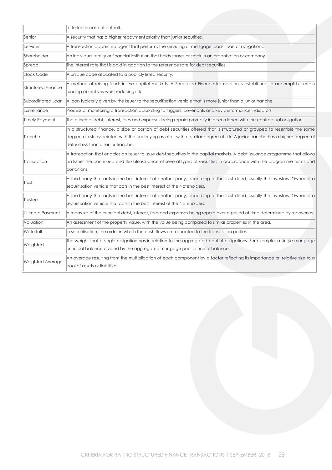|                           | forfeited in case of default.                                                                                                                                                                                                                                                                     |
|---------------------------|---------------------------------------------------------------------------------------------------------------------------------------------------------------------------------------------------------------------------------------------------------------------------------------------------|
| Senior                    | A security that has a higher repayment priority than junior securities.                                                                                                                                                                                                                           |
| Servicer                  | A transaction appointed agent that performs the servicing of mortgage loans, loan or obligations.                                                                                                                                                                                                 |
| Shareholder               | An individual, entity or financial institution that holds shares or stock in an organisation or company.                                                                                                                                                                                          |
| Spread                    | The interest rate that is paid in addition to the reference rate for debt securities.                                                                                                                                                                                                             |
| Stock Code                | A unique code allocated to a publicly listed security.                                                                                                                                                                                                                                            |
| <b>Structured Finance</b> | A method of raising funds in the capital markets. A Structured Finance transaction is established to accomplish certain<br>funding objectives whist reducing risk.                                                                                                                                |
| Subordinated Loan         | A loan typically given by the Issuer to the securitisation vehicle that is more junior than a junior tranche.                                                                                                                                                                                     |
| Surveillance              | Process of monitoring a transaction according to triggers, covenants and key performance indicators.                                                                                                                                                                                              |
| <b>Timely Payment</b>     | The principal debt, interest, fees and expenses being repaid promptly in accordance with the contractual obligation.                                                                                                                                                                              |
| Tranche                   | In a structured finance, a slice or portion of debt securities offered that is structured or grouped to resemble the same<br>degree of risk associated with the underlying asset or with a similar degree of risk. A junior tranche has a higher degree of<br>default risk than a senior tranche. |
| Transaction               | A transaction that enables an Issuer to issue debt securities in the capital markets. A debt issuance programme that allows<br>an Issuer the continued and flexible issuance of several types of securities in accordance with the programme terms and<br>conditions.                             |
| Trust                     | A third party that acts in the best interest of another party, according to the trust deed, usually the investors. Owner of a<br>securitisation vehicle that acts in the best interest of the Noteholders.                                                                                        |
| Trustee                   | A third party that acts in the best interest of another party, according to the trust deed, usually the investors. Owner of a<br>securitisation vehicle that acts in the best interest of the Noteholders.                                                                                        |
| Ultimate Payment          | A measure of the principal debt, interest, fees and expenses being repaid over a period of time determined by recoveries.                                                                                                                                                                         |
| Valuation                 | An assessment of the property value, with the value being compared to similar properties in the area.                                                                                                                                                                                             |
| Waterfall                 | In securitisation, the order in which the cash flows are allocated to the transaction parties.                                                                                                                                                                                                    |
| Weighted                  | The weight that a single obligation has in relation to the aggregated pool of obligations. For example, a single mortgage<br>principal balance divided by the aggregated mortgage pool principal balance.                                                                                         |
| <b>Weighted Average</b>   | An average resulting from the multiplication of each component by a factor reflecting its importance or, relative size to a<br>pool of assets or liabilities.                                                                                                                                     |